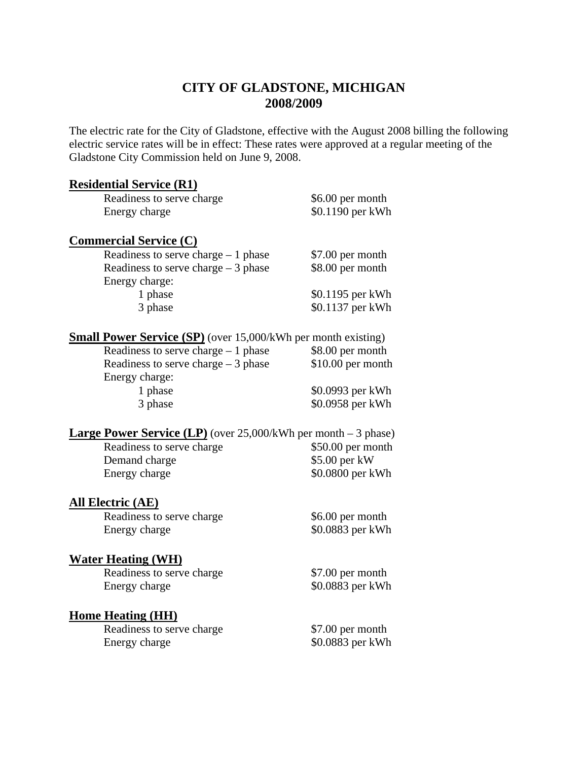# **CITY OF GLADSTONE, MICHIGAN 2008/2009**

The electric rate for the City of Gladstone, effective with the August 2008 billing the following electric service rates will be in effect: These rates were approved at a regular meeting of the Gladstone City Commission held on June 9, 2008.

#### **Residential Service (R1)**

| Readiness to serve charge | \$6.00 per month  |
|---------------------------|-------------------|
| Energy charge             | $$0.1190$ per kWh |
|                           |                   |

### **Commercial Service (C)**

| Readiness to serve charge $-1$ phase | \$7.00 per month |
|--------------------------------------|------------------|
| Readiness to serve charge $-3$ phase | \$8.00 per month |
| Energy charge:                       |                  |
| 1 phase                              | \$0.1195 per kWh |
| 3 phase                              | \$0.1137 per kWh |

### **Small Power Service (SP)** (over 15,000/kWh per month existing)

| Readiness to serve charge $-1$ phase | \$8.00 per month   |
|--------------------------------------|--------------------|
| Readiness to serve charge $-3$ phase | $$10.00$ per month |
| Energy charge:                       |                    |
| 1 phase                              | \$0.0993 per kWh   |
| 3 phase                              | \$0.0958 per kWh   |

#### **Large Power Service (LP)** (over 25,000/kWh per month – 3 phase)

| Readiness to serve charge | $$50.00$ per month |
|---------------------------|--------------------|
| Demand charge             | $$5.00$ per kW     |
| Energy charge             | \$0.0800 per kWh   |

#### **All Electric (AE)**

Readiness to serve charge \$6.00 per month Energy charge \$0.0883 per kWh

#### **Water Heating (WH)**

Readiness to serve charge \$7.00 per month Energy charge  $\$0.0883$  per kWh

## **Home Heating (HH)**

Readiness to serve charge \$7.00 per month Energy charge  $\$0.0883$  per kWh